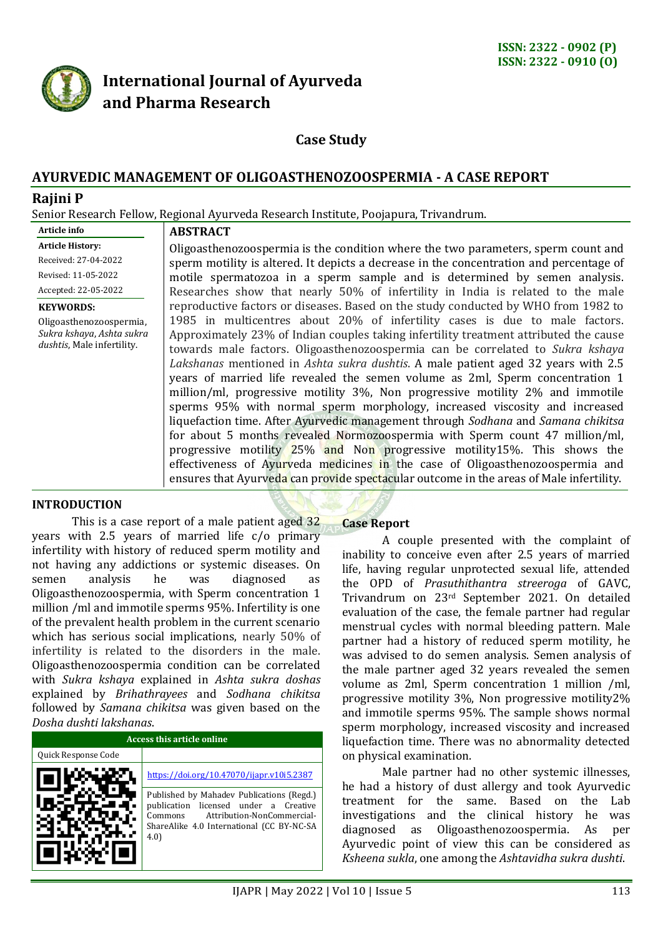

# **International Journal of Ayurveda and Pharma Research**

# **Case Study**

# **AYURVEDIC MANAGEMENT OF OLIGOASTHENOZOOSPERMIA - A CASE REPORT**

#### **Rajini P**

Senior Research Fellow, Regional Ayurveda Research Institute, Poojapura, Trivandrum.

#### **Article info Article History:**  Received: 27-04-2022 Revised: 11-05-2022 Accepted: 22-05-2022

#### **KEYWORDS:**

Oligoasthenozoospermia, *Sukra kshaya*, *Ashta sukra dushtis*, Male infertility.

**ABSTRACT**

Oligoasthenozoospermia is the condition where the two parameters, sperm count and sperm motility is altered. It depicts a decrease in the concentration and percentage of motile spermatozoa in a sperm sample and is determined by semen analysis. Researches show that nearly 50% of infertility in India is related to the male reproductive factors or diseases. Based on the study conducted by WHO from 1982 to 1985 in multicentres about 20% of infertility cases is due to male factors. Approximately 23% of Indian couples taking infertility treatment attributed the cause towards male factors. Oligoasthenozoospermia can be correlated to *Sukra kshaya Lakshanas* mentioned in *Ashta sukra dushtis*. A male patient aged 32 years with 2.5 years of married life revealed the semen volume as 2ml, Sperm concentration 1 million/ml, progressive motility 3%, Non progressive motility 2% and immotile sperms 95% with normal sperm morphology, increased viscosity and increased liquefaction time. After Ayurvedic management through *Sodhana* and *Samana chikitsa* for about 5 months revealed Normozoospermia with Sperm count 47 million/ml, progressive motility 25% and Non progressive motility15%. This shows the effectiveness of Ayurveda medicines in the case of Oligoasthenozoospermia and ensures that Ayurveda can provide spectacular outcome in the areas of Male infertility.

## **INTRODUCTION**

This is a case report of a male patient aged 32 years with 2.5 years of married life c/o primary infertility with history of reduced sperm motility and not having any addictions or systemic diseases. On semen analysis he was diagnosed as Oligoasthenozoospermia, with Sperm concentration 1 million /ml and immotile sperms 95%. Infertility is one of the prevalent health problem in the current scenario which has serious social implications, nearly 50% of infertility is related to the disorders in the male. Oligoasthenozoospermia condition can be correlated with *Sukra kshaya* explained in *Ashta sukra doshas* explained by *Brihathrayees* and *Sodhana chikitsa* followed by *Samana chikitsa* was given based on the *Dosha dushti lakshanas*.

| <b>Access this article online</b> |                                                                                                                                                                                 |  |
|-----------------------------------|---------------------------------------------------------------------------------------------------------------------------------------------------------------------------------|--|
| Quick Response Code               |                                                                                                                                                                                 |  |
|                                   | https://doi.org/10.47070/ijapr.v10i5.2387                                                                                                                                       |  |
|                                   | Published by Mahadev Publications (Regd.)<br>publication licensed under a Creative<br>Attribution-NonCommercial-<br>Commons<br>ShareAlike 4.0 International (CC BY-NC-SA<br>4.0 |  |

## **Case Report**

A couple presented with the complaint of inability to conceive even after 2.5 years of married life, having regular unprotected sexual life, attended the OPD of *Prasuthithantra streeroga* of GAVC, Trivandrum on 23rd September 2021. On detailed evaluation of the case, the female partner had regular menstrual cycles with normal bleeding pattern. Male partner had a history of reduced sperm motility, he was advised to do semen analysis. Semen analysis of the male partner aged 32 years revealed the semen volume as 2ml, Sperm concentration 1 million /ml, progressive motility 3%, Non progressive motility2% and immotile sperms 95%. The sample shows normal sperm morphology, increased viscosity and increased liquefaction time. There was no abnormality detected on physical examination.

Male partner had no other systemic illnesses, he had a history of dust allergy and took Ayurvedic treatment for the same. Based on the Lab investigations and the clinical history he was diagnosed as Oligoasthenozoospermia. As per Ayurvedic point of view this can be considered as *Ksheena sukla*, one among the *Ashtavidha sukra dushti*.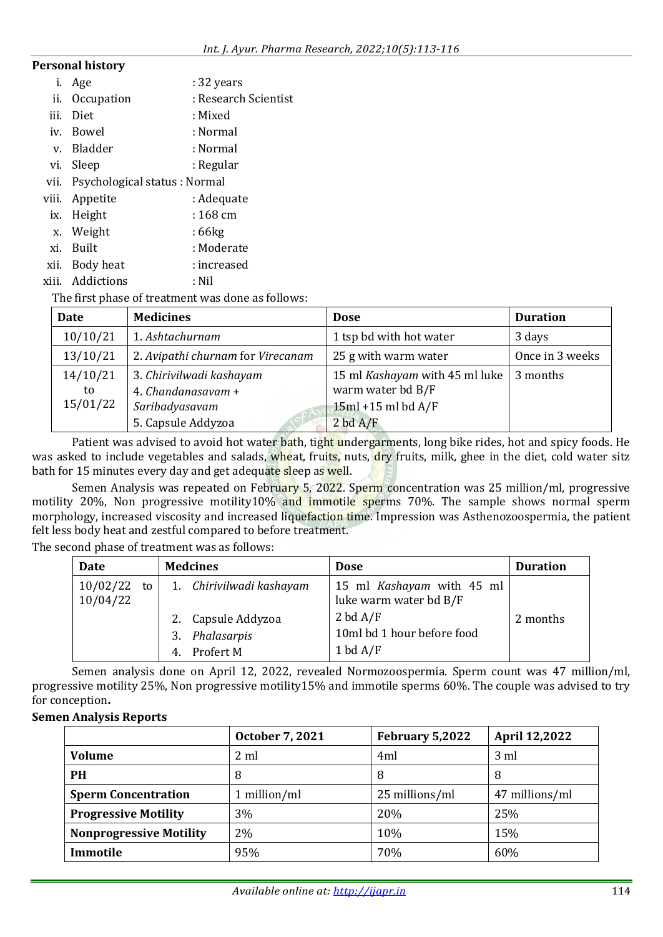#### **Personal history**

|      | i. Age                                                                                                                                                                                                                                                                                                                                    | : 32 years           |
|------|-------------------------------------------------------------------------------------------------------------------------------------------------------------------------------------------------------------------------------------------------------------------------------------------------------------------------------------------|----------------------|
|      | ii. Occupation                                                                                                                                                                                                                                                                                                                            | : Research Scientist |
| iii. | Diet                                                                                                                                                                                                                                                                                                                                      | : Mixed              |
|      | iv. Bowel                                                                                                                                                                                                                                                                                                                                 | : Normal             |
|      | v. Bladder                                                                                                                                                                                                                                                                                                                                | : Normal             |
|      | vi. Sleep                                                                                                                                                                                                                                                                                                                                 | : Regular            |
|      | vii. Psychological status : Normal                                                                                                                                                                                                                                                                                                        |                      |
|      | viii. Appetite                                                                                                                                                                                                                                                                                                                            | : Adequate           |
|      | ix. Height                                                                                                                                                                                                                                                                                                                                | : 168 cm             |
|      | x. Weight                                                                                                                                                                                                                                                                                                                                 | :66kg                |
|      | xi. Built                                                                                                                                                                                                                                                                                                                                 | : Moderate           |
|      | xii. Body heat                                                                                                                                                                                                                                                                                                                            | : increased          |
|      | $\mathbf{A}$ , $\mathbf{A}$ , $\mathbf{A}$ , $\mathbf{A}$ , $\mathbf{A}$ , $\mathbf{A}$ , $\mathbf{A}$ , $\mathbf{A}$ , $\mathbf{A}$ , $\mathbf{A}$ , $\mathbf{A}$ , $\mathbf{A}$ , $\mathbf{A}$ , $\mathbf{A}$ , $\mathbf{A}$ , $\mathbf{A}$ , $\mathbf{A}$ , $\mathbf{A}$ , $\mathbf{A}$ , $\mathbf{A}$ , $\mathbf{A}$ , $\mathbf{A}$ , | $N+1$                |

xiii. Addictions : Nil

The first phase of treatment was done as follows:

| <b>Date</b>                | <b>Medicines</b>                                                                       | <b>Dose</b>                                                                              | <b>Duration</b> |
|----------------------------|----------------------------------------------------------------------------------------|------------------------------------------------------------------------------------------|-----------------|
| 10/10/21                   | 1. Ashtachurnam                                                                        | 1 tsp bd with hot water                                                                  | 3 days          |
| 13/10/21                   | 2. Avipathi churnam for Virecanam                                                      | 25 g with warm water                                                                     | Once in 3 weeks |
| 14/10/21<br>to<br>15/01/22 | 3. Chirivilwadi kashayam<br>4. Chandanasavam +<br>Saribadyasavam<br>5. Capsule Addyzoa | 15 ml Kashayam with 45 ml luke<br>warm water bd B/F<br>$15ml + 15 ml bd A/F$<br>2 bd A/F | 3 months        |

Patient was advised to avoid hot water bath, tight undergarments, long bike rides, hot and spicy foods. He was asked to include vegetables and salads, wheat, fruits, nuts, dry fruits, milk, ghee in the diet, cold water sitz bath for 15 minutes every day and get adequate sleep as well.

Semen Analysis was repeated on February 5, 2022. Sperm concentration was 25 million/ml, progressive motility 20%, Non progressive motility10% and immotile sperms 70%. The sample shows normal sperm morphology, increased viscosity and increased liquefaction time. Impression was Asthenozoospermia, the patient felt less body heat and zestful compared to before treatment.

The second phase of treatment was as follows:

| Date                      | <b>Medcines</b>          | <b>Dose</b>                                         | <b>Duration</b> |
|---------------------------|--------------------------|-----------------------------------------------------|-----------------|
| $10/02/22$ to<br>10/04/22 | 1. Chirivilwadi kashayam | 15 ml Kashayam with 45 ml<br>luke warm water bd B/F |                 |
|                           | 2. Capsule Addyzoa       | 2 bd A/F                                            | 2 months        |
|                           | Phalasarpis<br>3.        | 10ml bd 1 hour before food                          |                 |
|                           | Profert M                | 1 bd $A/F$                                          |                 |

Semen analysis done on April 12, 2022, revealed Normozoospermia. Sperm count was 47 million/ml, progressive motility 25%, Non progressive motility15% and immotile sperms 60%. The couple was advised to try for conception**.**

## **Semen Analysis Reports**

|                                | <b>October 7, 2021</b> | February 5,2022 | <b>April 12,2022</b> |
|--------------------------------|------------------------|-----------------|----------------------|
| <b>Volume</b>                  | $2 \mathrm{ml}$        | 4ml             | 3 ml                 |
| <b>PH</b>                      | 8                      | 8               | 8                    |
| <b>Sperm Concentration</b>     | 1 million/ml           | 25 millions/ml  | 47 millions/ml       |
| <b>Progressive Motility</b>    | 3%                     | 20%             | 25%                  |
| <b>Nonprogressive Motility</b> | 2%                     | 10%             | 15%                  |
| Immotile                       | 95%                    | 70%             | 60%                  |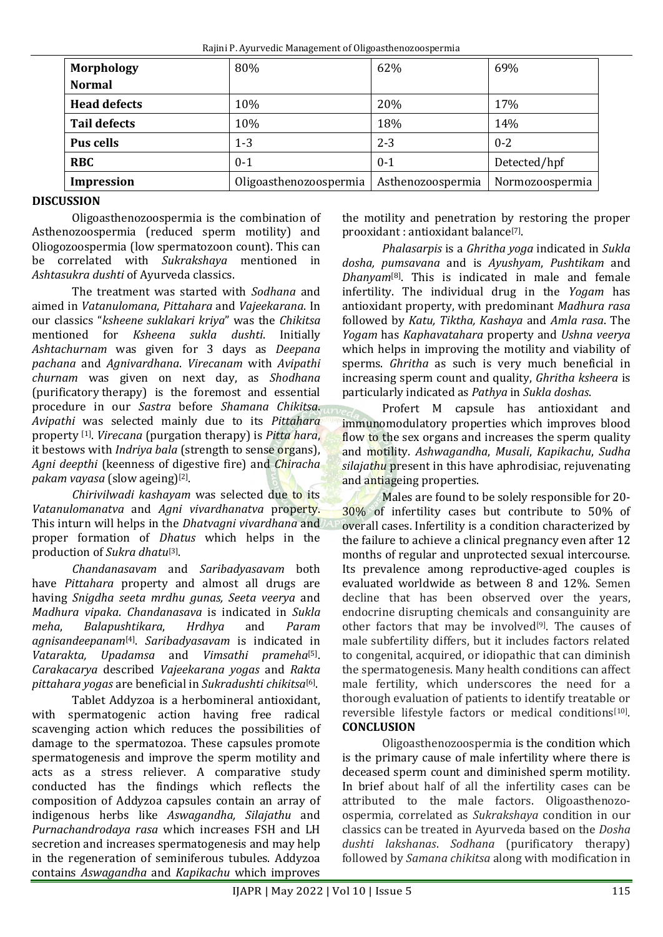| Rajini P. Ayurvedic Management of Oligoasthenozoospermia |  |
|----------------------------------------------------------|--|
|                                                          |  |

| <b>Morphology</b>   | 80%                    | 62%               | 69%             |
|---------------------|------------------------|-------------------|-----------------|
| <b>Normal</b>       |                        |                   |                 |
| <b>Head defects</b> | 10%                    | 20%               | 17%             |
| <b>Tail defects</b> | 10%                    | 18%               | 14%             |
| Pus cells           | $1 - 3$                | $2 - 3$           | $0 - 2$         |
| <b>RBC</b>          | $0 - 1$                | $0 - 1$           | Detected/hpf    |
| <b>Impression</b>   | Oligoasthenozoospermia | Asthenozoospermia | Normozoospermia |

## **DISCUSSION**

Oligoasthenozoospermia is the combination of Asthenozoospermia (reduced sperm motility) and Oliogozoospermia (low spermatozoon count). This can be correlated with *Sukrakshaya* mentioned in *Ashtasukra dushti* of Ayurveda classics.

The treatment was started with *Sodhana* and aimed in *Vatanulomana*, *Pittahara* and *Vajeekarana*. In our classics "*ksheene suklakari kriya*" was the *Chikitsa* mentioned for *Ksheena sukla dushti*. Initially *Ashtachurnam* was given for 3 days as *Deepana pachana* and *Agnivardhana*. *Virecanam* with *Avipathi churnam* was given on next day, as *Shodhana* (purificatory therapy) is the foremost and essential procedure in our *Sastra* before *Shamana Chikitsa*. *Avipathi* was selected mainly due to its *Pittahara* property [1] . *Virecana* (purgation therapy) is *Pitta hara*, it bestows with *Indriya bala* (strength to sense organs), *Agni deepthi* (keenness of digestive fire) and *Chiracha pakam vayasa* (slow ageing)[2] .

*Chirivilwadi kashayam* was selected due to its *Vatanulomanatva* and *Agni vivardhanatva* property. This inturn will helps in the *Dhatvagni vivardhana* and proper formation of *Dhatus* which helps in the production of *Sukra dhatu*[3] .

*Chandanasavam* and *Saribadyasavam* both have *Pittahara* property and almost all drugs are having *Snigdha seeta mrdhu gunas, Seeta veerya* and *Madhura vipaka*. *Chandanasava* is indicated in *Sukla meha*, *Balapushtikara*, *Hrdhya* and *Param agnisandeepanam*[4] . *Saribadyasavam* is indicated in *Vatarakta, Upadamsa* and *Vimsathi* prameha[5]. *Carakacarya* described *Vajeekarana yogas* and *Rakta pittahara yogas* are beneficial in *Sukradushti chikitsa*[6] .

Tablet Addyzoa is a herbomineral antioxidant, with spermatogenic action having free radical scavenging action which reduces the possibilities of damage to the spermatozoa. These capsules promote spermatogenesis and improve the sperm motility and acts as a stress reliever. A comparative study conducted has the findings which reflects the composition of Addyzoa capsules contain an array of indigenous herbs like *Aswagandha, Silajathu* and *Purnachandrodaya rasa* which increases FSH and LH secretion and increases spermatogenesis and may help in the regeneration of seminiferous tubules. Addyzoa contains *Aswagandha* and *Kapikachu* which improves

the motility and penetration by restoring the proper prooxidant : antioxidant balance<sup>[7]</sup>.

*Phalasarpis* is a *Ghritha yoga* indicated in *Sukla dosha, pumsavana* and is *Ayushyam*, *Pushtikam* and *Dhanyam*[8]. This is indicated in male and female infertility. The individual drug in the *Yogam* has antioxidant property, with predominant *Madhura rasa* followed by *Katu, Tiktha, Kashaya* and *Amla rasa*. The *Yogam* has *Kaphavatahara* property and *Ushna veerya* which helps in improving the motility and viability of sperms. *Ghritha* as such is very much beneficial in increasing sperm count and quality, *Ghritha ksheera* is particularly indicated as *Pathya* in *Sukla doshas*.

Profert M capsule has antioxidant and immunomodulatory properties which improves blood flow to the sex organs and increases the sperm quality and motility. *Ashwagandha*, *Musali*, *Kapikachu*, *Sudha silajathu* present in this have aphrodisiac, rejuvenating and antiageing properties.

Males are found to be solely responsible for 20- 30% of infertility cases but contribute to 50% of overall cases. Infertility is a condition characterized by the failure to achieve a clinical pregnancy even after 12 months of regular and unprotected sexual intercourse. Its prevalence among reproductive-aged couples is evaluated worldwide as between 8 and 12%. Semen decline that has been observed over the years, endocrine disrupting chemicals and consanguinity are other factors that may be involved<sup>[9]</sup>. The causes of male subfertility differs, but it includes factors related to congenital, acquired, or idiopathic that can diminish the spermatogenesis. Many health conditions can affect male fertility, which underscores the need for a thorough evaluation of patients to identify treatable or reversible lifestyle factors or medical conditions<sup>[10]</sup>. **CONCLUSION**

Oligoasthenozoospermia is the condition which is the primary cause of male infertility where there is deceased sperm count and diminished sperm motility. In brief about half of all the infertility cases can be attributed to the male factors. Oligoasthenozoospermia, correlated as *Sukrakshaya* condition in our classics can be treated in Ayurveda based on the *Dosha dushti lakshanas*. *Sodhana* (purificatory therapy) followed by *Samana chikitsa* along with modification in